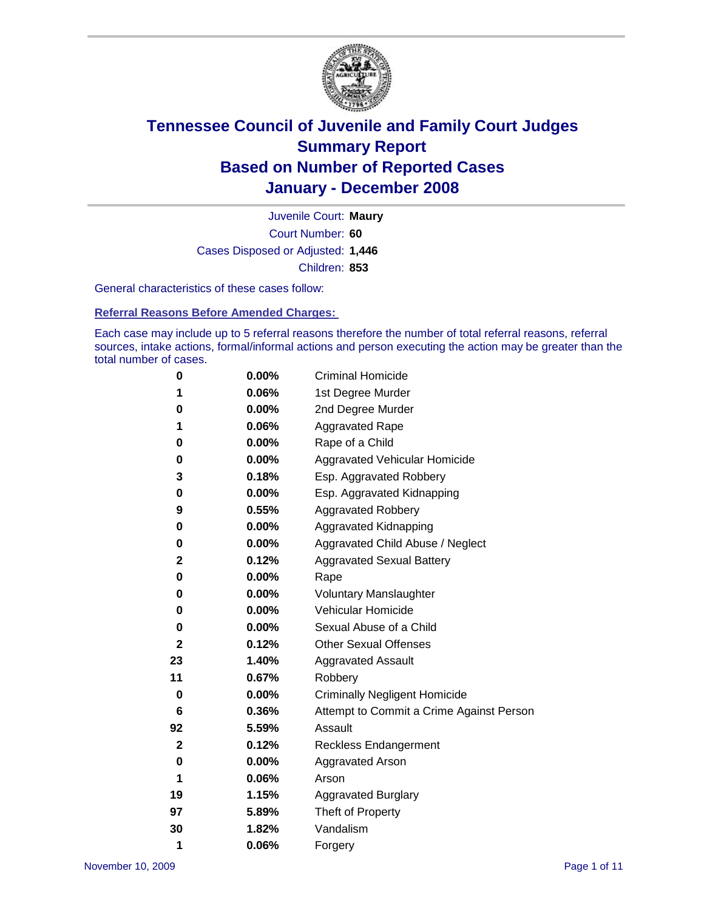

Court Number: **60** Juvenile Court: **Maury** Cases Disposed or Adjusted: **1,446** Children: **853**

General characteristics of these cases follow:

**Referral Reasons Before Amended Charges:** 

Each case may include up to 5 referral reasons therefore the number of total referral reasons, referral sources, intake actions, formal/informal actions and person executing the action may be greater than the total number of cases.

| 0  | $0.00\%$ | <b>Criminal Homicide</b>                 |
|----|----------|------------------------------------------|
| 1  | 0.06%    | 1st Degree Murder                        |
| 0  | $0.00\%$ | 2nd Degree Murder                        |
| 1  | 0.06%    | <b>Aggravated Rape</b>                   |
| 0  | 0.00%    | Rape of a Child                          |
| 0  | $0.00\%$ | Aggravated Vehicular Homicide            |
| 3  | 0.18%    | Esp. Aggravated Robbery                  |
| 0  | $0.00\%$ | Esp. Aggravated Kidnapping               |
| 9  | 0.55%    | <b>Aggravated Robbery</b>                |
| 0  | 0.00%    | Aggravated Kidnapping                    |
| 0  | $0.00\%$ | Aggravated Child Abuse / Neglect         |
| 2  | 0.12%    | <b>Aggravated Sexual Battery</b>         |
| 0  | 0.00%    | Rape                                     |
| 0  | 0.00%    | <b>Voluntary Manslaughter</b>            |
| 0  | 0.00%    | Vehicular Homicide                       |
| 0  | $0.00\%$ | Sexual Abuse of a Child                  |
| 2  | 0.12%    | <b>Other Sexual Offenses</b>             |
| 23 | 1.40%    | <b>Aggravated Assault</b>                |
| 11 | 0.67%    | Robbery                                  |
| 0  | 0.00%    | <b>Criminally Negligent Homicide</b>     |
| 6  | 0.36%    | Attempt to Commit a Crime Against Person |
| 92 | 5.59%    | Assault                                  |
| 2  | 0.12%    | <b>Reckless Endangerment</b>             |
| 0  | 0.00%    | <b>Aggravated Arson</b>                  |
| 1  | 0.06%    | Arson                                    |
| 19 | 1.15%    | <b>Aggravated Burglary</b>               |
| 97 | 5.89%    | Theft of Property                        |
| 30 | 1.82%    | Vandalism                                |
| 1  | 0.06%    | Forgery                                  |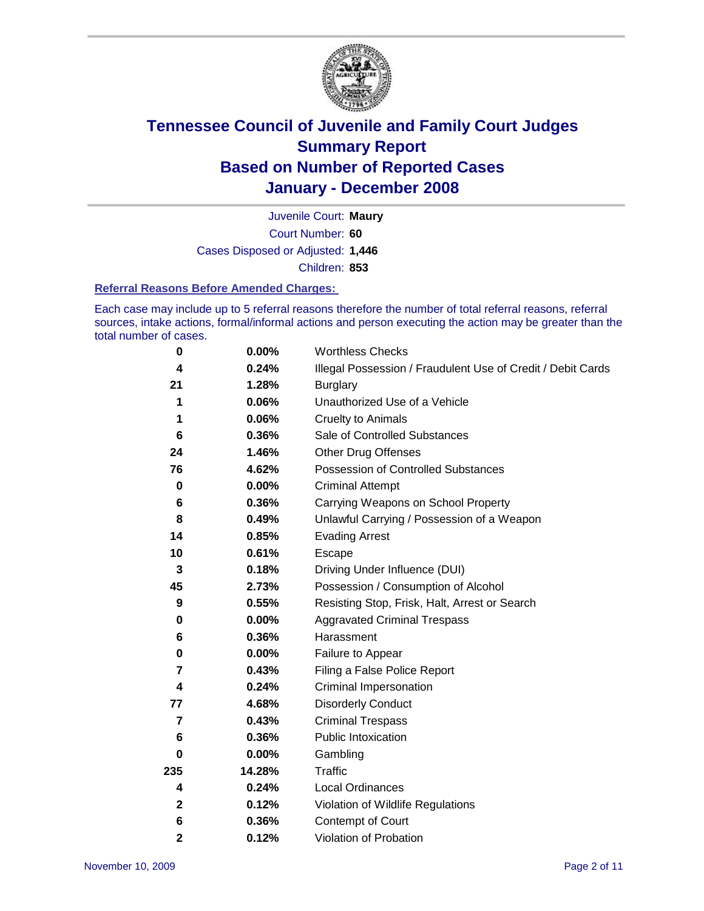

Court Number: **60** Juvenile Court: **Maury** Cases Disposed or Adjusted: **1,446** Children: **853**

#### **Referral Reasons Before Amended Charges:**

Each case may include up to 5 referral reasons therefore the number of total referral reasons, referral sources, intake actions, formal/informal actions and person executing the action may be greater than the total number of cases.

| 0              | 0.00%    | <b>Worthless Checks</b>                                     |
|----------------|----------|-------------------------------------------------------------|
| 4              | 0.24%    | Illegal Possession / Fraudulent Use of Credit / Debit Cards |
| 21             | 1.28%    | <b>Burglary</b>                                             |
| 1              | 0.06%    | Unauthorized Use of a Vehicle                               |
| 1              | 0.06%    | <b>Cruelty to Animals</b>                                   |
| 6              | 0.36%    | Sale of Controlled Substances                               |
| 24             | 1.46%    | <b>Other Drug Offenses</b>                                  |
| 76             | 4.62%    | Possession of Controlled Substances                         |
| $\mathbf 0$    | $0.00\%$ | <b>Criminal Attempt</b>                                     |
| 6              | 0.36%    | Carrying Weapons on School Property                         |
| 8              | 0.49%    | Unlawful Carrying / Possession of a Weapon                  |
| 14             | 0.85%    | <b>Evading Arrest</b>                                       |
| 10             | 0.61%    | Escape                                                      |
| 3              | 0.18%    | Driving Under Influence (DUI)                               |
| 45             | 2.73%    | Possession / Consumption of Alcohol                         |
| 9              | 0.55%    | Resisting Stop, Frisk, Halt, Arrest or Search               |
| 0              | 0.00%    | <b>Aggravated Criminal Trespass</b>                         |
| 6              | 0.36%    | Harassment                                                  |
| 0              | 0.00%    | Failure to Appear                                           |
| 7              | 0.43%    | Filing a False Police Report                                |
| 4              | 0.24%    | Criminal Impersonation                                      |
| 77             | 4.68%    | <b>Disorderly Conduct</b>                                   |
| $\overline{7}$ | 0.43%    | <b>Criminal Trespass</b>                                    |
| 6              | 0.36%    | <b>Public Intoxication</b>                                  |
| 0              | 0.00%    | Gambling                                                    |
| 235            | 14.28%   | Traffic                                                     |
| 4              | 0.24%    | <b>Local Ordinances</b>                                     |
| $\mathbf{2}$   | 0.12%    | Violation of Wildlife Regulations                           |
| 6              | 0.36%    | Contempt of Court                                           |
| 2              | 0.12%    | Violation of Probation                                      |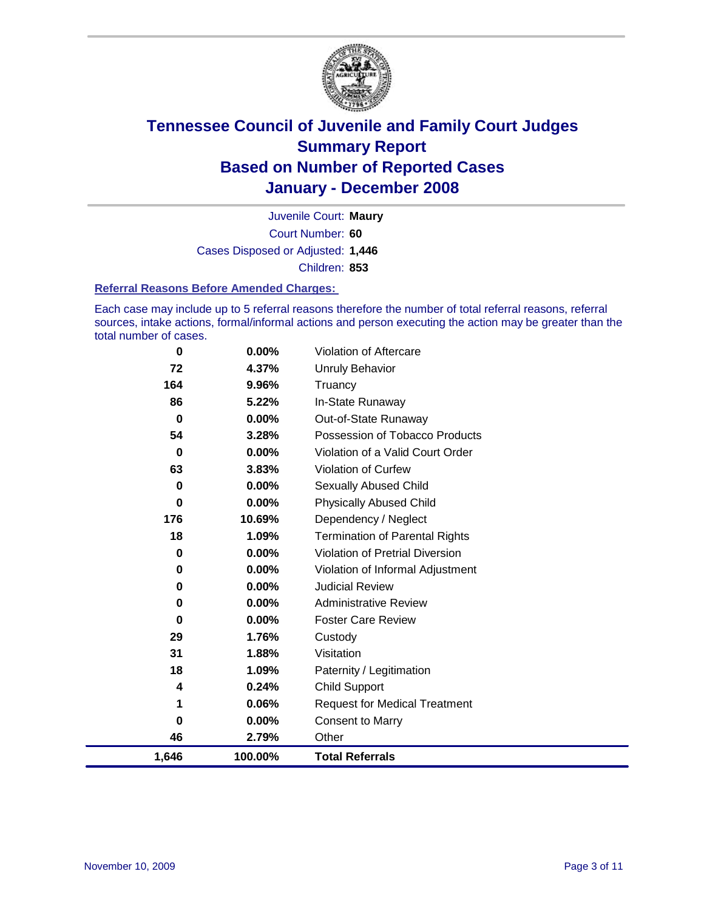

Court Number: **60** Juvenile Court: **Maury** Cases Disposed or Adjusted: **1,446** Children: **853**

#### **Referral Reasons Before Amended Charges:**

Each case may include up to 5 referral reasons therefore the number of total referral reasons, referral sources, intake actions, formal/informal actions and person executing the action may be greater than the total number of cases.

| $\bf{0}$ | 0.00%    | Violation of Aftercare                 |
|----------|----------|----------------------------------------|
| 72       | 4.37%    | <b>Unruly Behavior</b>                 |
| 164      | 9.96%    | Truancy                                |
| 86       | 5.22%    | In-State Runaway                       |
| $\bf{0}$ | 0.00%    | Out-of-State Runaway                   |
| 54       | 3.28%    | Possession of Tobacco Products         |
| $\bf{0}$ | $0.00\%$ | Violation of a Valid Court Order       |
| 63       | 3.83%    | Violation of Curfew                    |
| $\bf{0}$ | 0.00%    | Sexually Abused Child                  |
| $\bf{0}$ | $0.00\%$ | <b>Physically Abused Child</b>         |
| 176      | 10.69%   | Dependency / Neglect                   |
| 18       | 1.09%    | <b>Termination of Parental Rights</b>  |
| 0        | $0.00\%$ | <b>Violation of Pretrial Diversion</b> |
| 0        | $0.00\%$ | Violation of Informal Adjustment       |
| 0        | 0.00%    | <b>Judicial Review</b>                 |
| 0        | $0.00\%$ | <b>Administrative Review</b>           |
| $\bf{0}$ | $0.00\%$ | <b>Foster Care Review</b>              |
| 29       | 1.76%    | Custody                                |
| 31       | 1.88%    | Visitation                             |
| 18       | 1.09%    | Paternity / Legitimation               |
| 4        | 0.24%    | <b>Child Support</b>                   |
| 1        | 0.06%    | <b>Request for Medical Treatment</b>   |
| 0        | 0.00%    | <b>Consent to Marry</b>                |
| 46       | 2.79%    | Other                                  |
| 1,646    | 100.00%  | <b>Total Referrals</b>                 |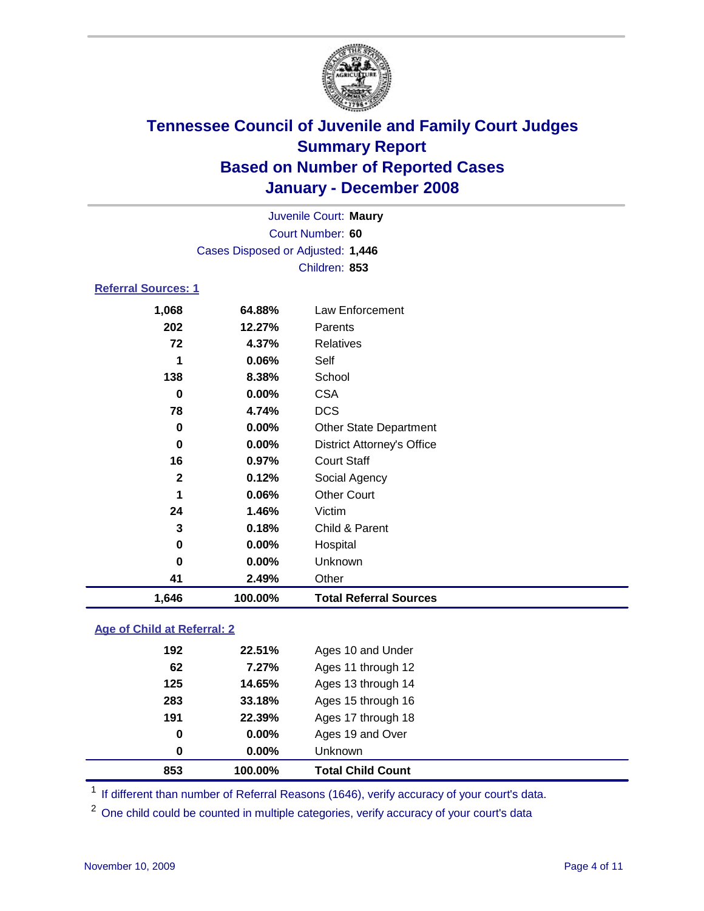

| Juvenile Court: Maury             |  |
|-----------------------------------|--|
| Court Number: 60                  |  |
| Cases Disposed or Adjusted: 1,446 |  |
| Children: 853                     |  |

### **Referral Sources: 1**

| 1,646        | 100.00%  | <b>Total Referral Sources</b>     |
|--------------|----------|-----------------------------------|
| 41           | 2.49%    | Other                             |
| 0            | 0.00%    | Unknown                           |
| 0            | 0.00%    | Hospital                          |
| 3            | 0.18%    | Child & Parent                    |
| 24           | 1.46%    | Victim                            |
| 1            | 0.06%    | <b>Other Court</b>                |
| $\mathbf{2}$ | 0.12%    | Social Agency                     |
| 16           | 0.97%    | <b>Court Staff</b>                |
| 0            | 0.00%    | <b>District Attorney's Office</b> |
| 0            | $0.00\%$ | <b>Other State Department</b>     |
| 78           | 4.74%    | <b>DCS</b>                        |
| 0            | 0.00%    | <b>CSA</b>                        |
| 138          | 8.38%    | School                            |
| 1            | 0.06%    | Self                              |
| 72           | 4.37%    | Relatives                         |
| 202          | 12.27%   | Parents                           |
|              | 64.88%   | Law Enforcement                   |
|              | 1,068    |                                   |

### **Age of Child at Referral: 2**

| 853 | 100.00% | <b>Total Child Count</b> |
|-----|---------|--------------------------|
| 0   | 0.00%   | Unknown                  |
| 0   | 0.00%   | Ages 19 and Over         |
| 191 | 22.39%  | Ages 17 through 18       |
| 283 | 33.18%  | Ages 15 through 16       |
| 125 | 14.65%  | Ages 13 through 14       |
| 62  | 7.27%   | Ages 11 through 12       |
| 192 | 22.51%  | Ages 10 and Under        |
|     |         |                          |

<sup>1</sup> If different than number of Referral Reasons (1646), verify accuracy of your court's data.

<sup>2</sup> One child could be counted in multiple categories, verify accuracy of your court's data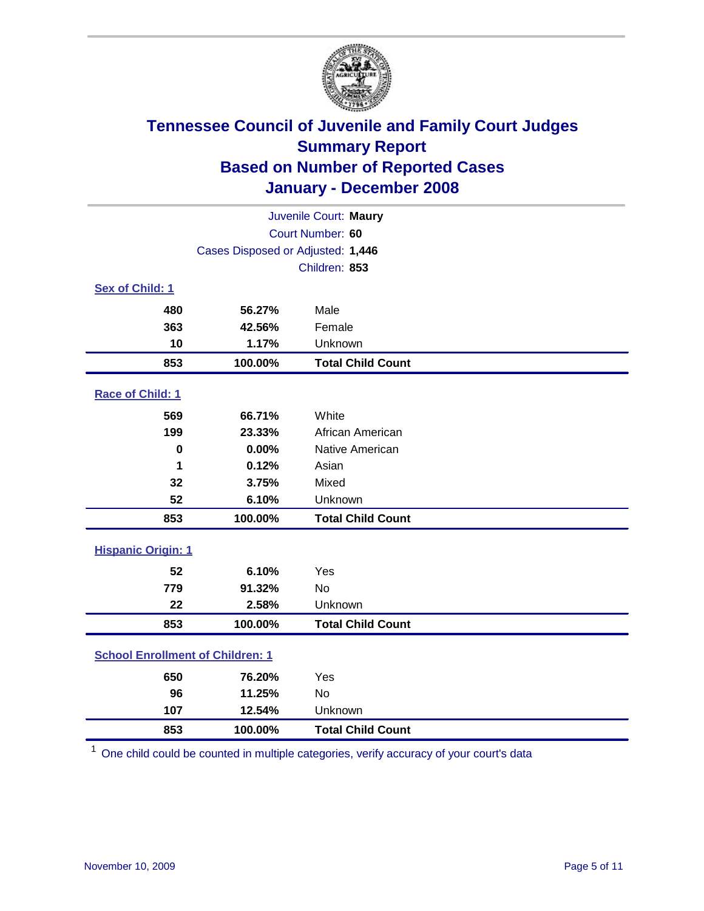

|                                         |         | Juvenile Court: Maury    |  |  |
|-----------------------------------------|---------|--------------------------|--|--|
| Court Number: 60                        |         |                          |  |  |
| Cases Disposed or Adjusted: 1,446       |         |                          |  |  |
|                                         |         | Children: 853            |  |  |
| Sex of Child: 1                         |         |                          |  |  |
| 480                                     | 56.27%  | Male                     |  |  |
| 363                                     | 42.56%  | Female                   |  |  |
| 10                                      | 1.17%   | Unknown                  |  |  |
| 853                                     | 100.00% | <b>Total Child Count</b> |  |  |
| Race of Child: 1                        |         |                          |  |  |
| 569                                     | 66.71%  | White                    |  |  |
| 199                                     | 23.33%  | African American         |  |  |
| $\bf{0}$                                | 0.00%   | Native American          |  |  |
| 1                                       | 0.12%   | Asian                    |  |  |
| 32                                      | 3.75%   | Mixed                    |  |  |
| 52                                      | 6.10%   | Unknown                  |  |  |
| 853                                     | 100.00% | <b>Total Child Count</b> |  |  |
| <b>Hispanic Origin: 1</b>               |         |                          |  |  |
| 52                                      | 6.10%   | Yes                      |  |  |
| 779                                     | 91.32%  | <b>No</b>                |  |  |
| 22                                      | 2.58%   | Unknown                  |  |  |
| 853                                     | 100.00% | <b>Total Child Count</b> |  |  |
| <b>School Enrollment of Children: 1</b> |         |                          |  |  |
| 650                                     | 76.20%  | Yes                      |  |  |
| 96                                      | 11.25%  | <b>No</b>                |  |  |
| 107                                     | 12.54%  | Unknown                  |  |  |
| 853                                     | 100.00% | <b>Total Child Count</b> |  |  |

One child could be counted in multiple categories, verify accuracy of your court's data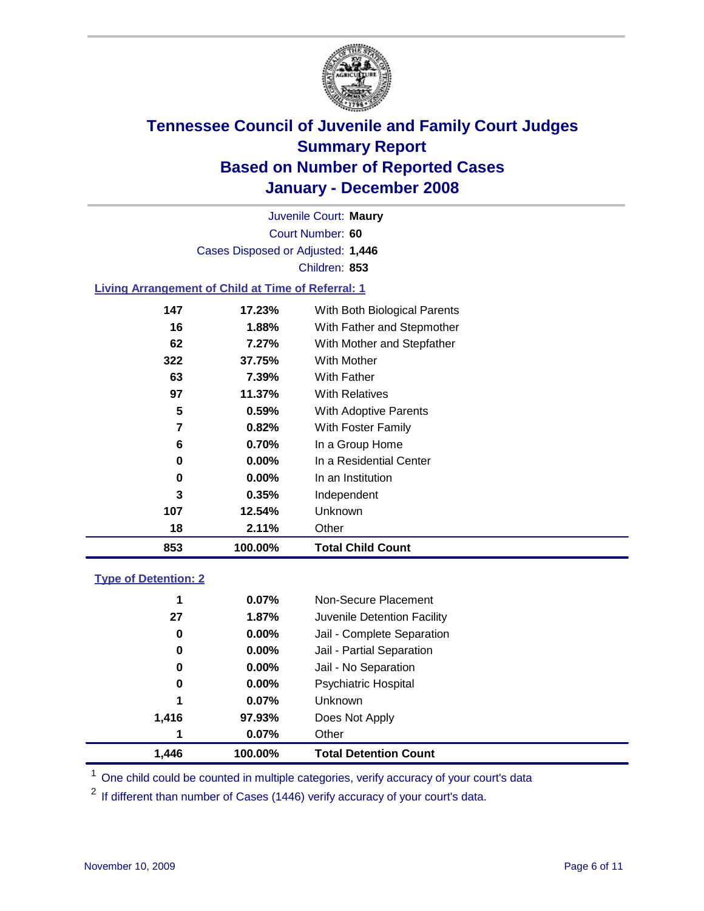

Court Number: **60** Juvenile Court: **Maury** Cases Disposed or Adjusted: **1,446** Children: **853**

#### **Living Arrangement of Child at Time of Referral: 1**

| 853 | 100.00%  | <b>Total Child Count</b>     |
|-----|----------|------------------------------|
| 18  | 2.11%    | Other                        |
| 107 | 12.54%   | Unknown                      |
| 3   | $0.35\%$ | Independent                  |
| 0   | $0.00\%$ | In an Institution            |
| 0   | $0.00\%$ | In a Residential Center      |
| 6   | 0.70%    | In a Group Home              |
| 7   | 0.82%    | With Foster Family           |
| 5   | 0.59%    | <b>With Adoptive Parents</b> |
| 97  | 11.37%   | <b>With Relatives</b>        |
| 63  | 7.39%    | With Father                  |
| 322 | 37.75%   | <b>With Mother</b>           |
| 62  | 7.27%    | With Mother and Stepfather   |
| 16  | 1.88%    | With Father and Stepmother   |
| 147 | 17.23%   | With Both Biological Parents |

#### **Type of Detention: 2**

| 1.446 | 100.00%  | <b>Total Detention Count</b> |
|-------|----------|------------------------------|
| 1     | 0.07%    | Other                        |
| 1,416 | 97.93%   | Does Not Apply               |
| 1     | 0.07%    | <b>Unknown</b>               |
| 0     | 0.00%    | <b>Psychiatric Hospital</b>  |
| 0     | 0.00%    | Jail - No Separation         |
| 0     | $0.00\%$ | Jail - Partial Separation    |
| 0     | $0.00\%$ | Jail - Complete Separation   |
| 27    | 1.87%    | Juvenile Detention Facility  |
| 1     | 0.07%    | Non-Secure Placement         |
|       |          |                              |

<sup>1</sup> One child could be counted in multiple categories, verify accuracy of your court's data

<sup>2</sup> If different than number of Cases (1446) verify accuracy of your court's data.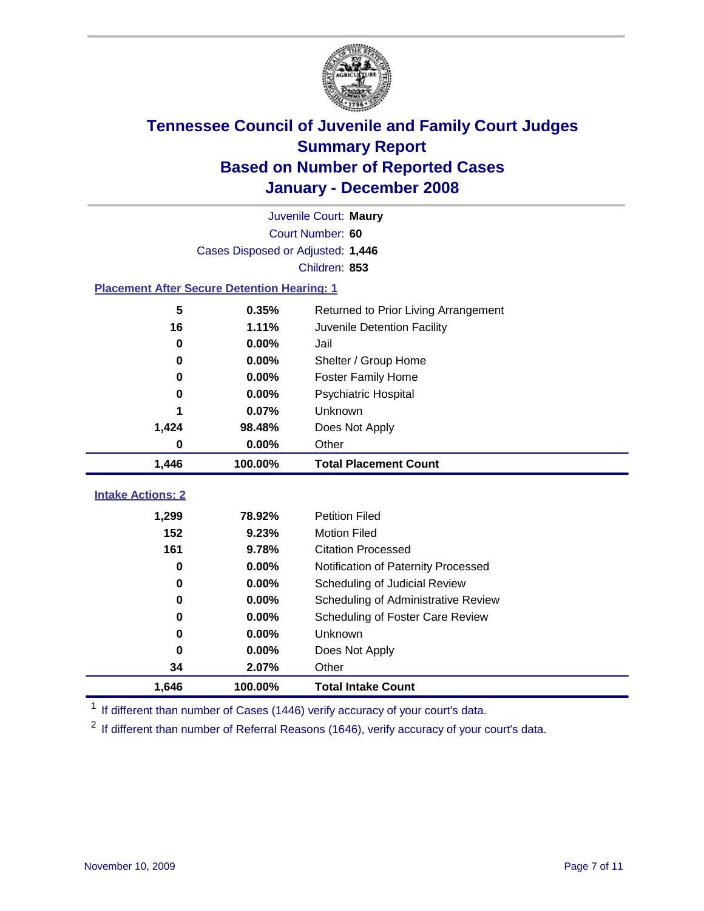

|                                                    | Juvenile Court: Maury             |                                      |  |  |  |  |
|----------------------------------------------------|-----------------------------------|--------------------------------------|--|--|--|--|
|                                                    | Court Number: 60                  |                                      |  |  |  |  |
|                                                    | Cases Disposed or Adjusted: 1,446 |                                      |  |  |  |  |
|                                                    | Children: 853                     |                                      |  |  |  |  |
| <b>Placement After Secure Detention Hearing: 1</b> |                                   |                                      |  |  |  |  |
| 5                                                  | 0.35%                             | Returned to Prior Living Arrangement |  |  |  |  |
| 16                                                 | 1.11%                             | Juvenile Detention Facility          |  |  |  |  |
| $\bf{0}$                                           | 0.00%                             | Jail                                 |  |  |  |  |
| $\bf{0}$                                           | 0.00%                             | Shelter / Group Home                 |  |  |  |  |
| 0                                                  | 0.00%                             | <b>Foster Family Home</b>            |  |  |  |  |
| $\bf{0}$                                           | 0.00%                             | Psychiatric Hospital                 |  |  |  |  |
|                                                    | 0.07%                             | Unknown                              |  |  |  |  |
| 1,424                                              | 98.48%                            | Does Not Apply                       |  |  |  |  |
| $\bf{0}$                                           | 0.00%                             | Other                                |  |  |  |  |
| 1,446                                              | 100.00%                           | <b>Total Placement Count</b>         |  |  |  |  |
|                                                    |                                   |                                      |  |  |  |  |
| <b>Intake Actions: 2</b>                           |                                   |                                      |  |  |  |  |
| 1,299                                              | 78.92%                            | <b>Petition Filed</b>                |  |  |  |  |
| 152                                                | 9.23%                             | <b>Motion Filed</b>                  |  |  |  |  |
| 161                                                | 9.78%                             | <b>Citation Processed</b>            |  |  |  |  |
| $\bf{0}$                                           | 0.00%                             | Notification of Paternity Processed  |  |  |  |  |
| $\bf{0}$                                           | 0.00%                             | Scheduling of Judicial Review        |  |  |  |  |
| $\bf{0}$                                           | 0.00%                             | Scheduling of Administrative Review  |  |  |  |  |
| 0                                                  | 0.00%                             | Scheduling of Foster Care Review     |  |  |  |  |
| $\bf{0}$                                           | 0.00%                             | Unknown                              |  |  |  |  |
| $\bf{0}$                                           | 0.00%                             | Does Not Apply                       |  |  |  |  |
| 34                                                 | 2.07%                             | Other                                |  |  |  |  |
| 1,646                                              | 100.00%                           | <b>Total Intake Count</b>            |  |  |  |  |

<sup>1</sup> If different than number of Cases (1446) verify accuracy of your court's data.

<sup>2</sup> If different than number of Referral Reasons (1646), verify accuracy of your court's data.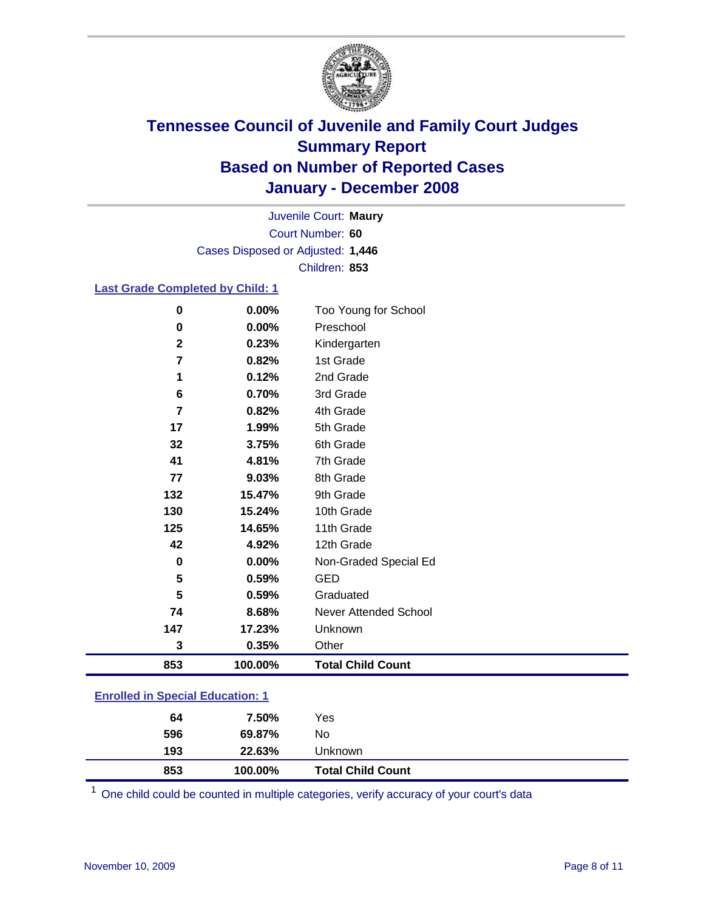

Court Number: **60** Juvenile Court: **Maury** Cases Disposed or Adjusted: **1,446** Children: **853**

#### **Last Grade Completed by Child: 1**

| 853         | 100.00% | <b>Total Child Count</b> |
|-------------|---------|--------------------------|
| 3           | 0.35%   | Other                    |
| 147         | 17.23%  | Unknown                  |
| 74          | 8.68%   | Never Attended School    |
| 5           | 0.59%   | Graduated                |
| 5           | 0.59%   | <b>GED</b>               |
| $\bf{0}$    | 0.00%   | Non-Graded Special Ed    |
| 42          | 4.92%   | 12th Grade               |
| 125         | 14.65%  | 11th Grade               |
| 130         | 15.24%  | 10th Grade               |
| 132         | 15.47%  | 9th Grade                |
| 77          | 9.03%   | 8th Grade                |
| 41          | 4.81%   | 7th Grade                |
| 32          | 3.75%   | 6th Grade                |
| 17          | 1.99%   | 5th Grade                |
| 7           | 0.82%   | 4th Grade                |
| 6           | 0.70%   | 3rd Grade                |
| 1           | 0.12%   | 2nd Grade                |
| 7           | 0.82%   | 1st Grade                |
| $\mathbf 2$ | 0.23%   | Kindergarten             |
| $\bf{0}$    | 0.00%   | Preschool                |
| $\bf{0}$    | 0.00%   | Too Young for School     |

### **Enrolled in Special Education: 1**

| <b>Total Child Count</b><br>853<br>100.00% |  |
|--------------------------------------------|--|
| 193<br>22.63%<br>Unknown                   |  |
| 596<br>No<br>69.87%                        |  |
| 7.50%<br>Yes<br>64                         |  |

One child could be counted in multiple categories, verify accuracy of your court's data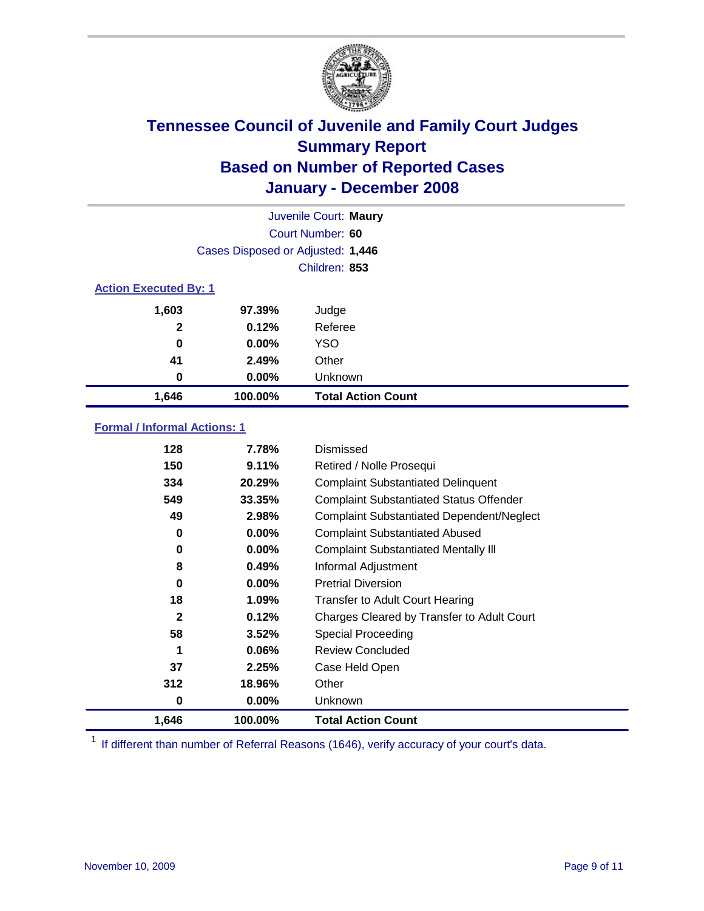

|                              |                                   | Juvenile Court: Maury     |
|------------------------------|-----------------------------------|---------------------------|
|                              |                                   | Court Number: 60          |
|                              | Cases Disposed or Adjusted: 1,446 |                           |
|                              |                                   | Children: 853             |
| <b>Action Executed By: 1</b> |                                   |                           |
| 1,603                        | 97.39%                            | Judge                     |
| $\mathbf{2}$                 | 0.12%                             | Referee                   |
| 0                            | $0.00\%$                          | <b>YSO</b>                |
| 41                           | 2.49%                             | Other                     |
| 0                            | $0.00\%$                          | Unknown                   |
| 1,646                        | 100.00%                           | <b>Total Action Count</b> |

#### **Formal / Informal Actions: 1**

| 128          | 7.78%    | Dismissed                                        |
|--------------|----------|--------------------------------------------------|
| 150          | 9.11%    | Retired / Nolle Prosequi                         |
| 334          | 20.29%   | <b>Complaint Substantiated Delinquent</b>        |
| 549          | 33.35%   | <b>Complaint Substantiated Status Offender</b>   |
| 49           | 2.98%    | <b>Complaint Substantiated Dependent/Neglect</b> |
| 0            | 0.00%    | <b>Complaint Substantiated Abused</b>            |
| 0            | $0.00\%$ | <b>Complaint Substantiated Mentally III</b>      |
| 8            | 0.49%    | Informal Adjustment                              |
| 0            | 0.00%    | <b>Pretrial Diversion</b>                        |
| 18           | 1.09%    | <b>Transfer to Adult Court Hearing</b>           |
| $\mathbf{2}$ | 0.12%    | Charges Cleared by Transfer to Adult Court       |
| 58           | 3.52%    | Special Proceeding                               |
| 1            | 0.06%    | <b>Review Concluded</b>                          |
| 37           | 2.25%    | Case Held Open                                   |
| 312          | 18.96%   | Other                                            |
| 0            | $0.00\%$ | <b>Unknown</b>                                   |
| 1,646        | 100.00%  | <b>Total Action Count</b>                        |

<sup>1</sup> If different than number of Referral Reasons (1646), verify accuracy of your court's data.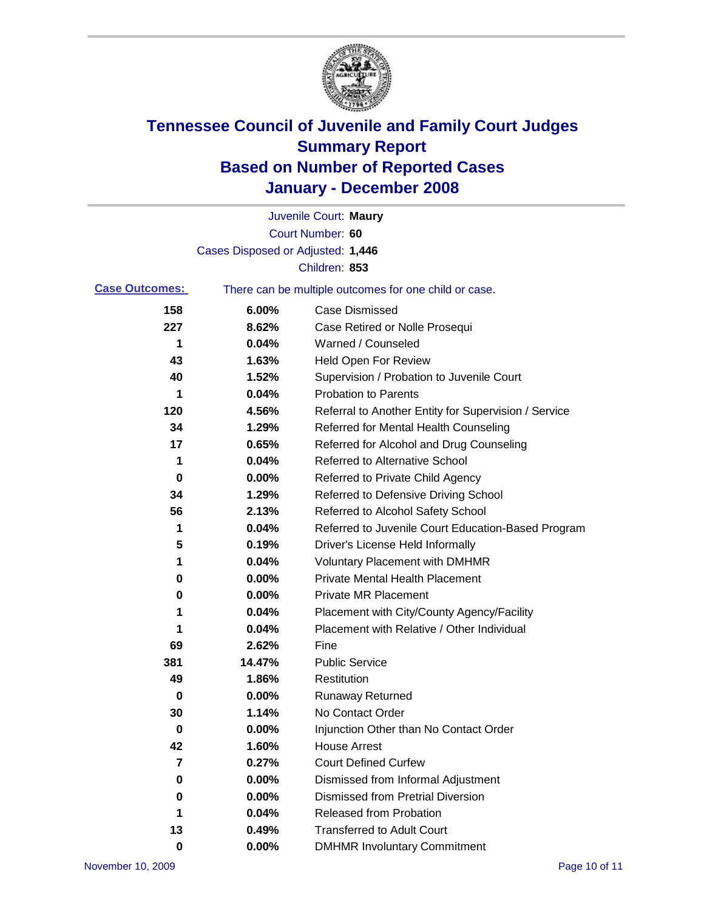

|          | Juvenile Court: Maury                                 |
|----------|-------------------------------------------------------|
|          | Court Number: 60                                      |
|          |                                                       |
|          | Children: 853                                         |
|          | There can be multiple outcomes for one child or case. |
| 6.00%    | Case Dismissed                                        |
| 8.62%    | Case Retired or Nolle Prosequi                        |
| 0.04%    | Warned / Counseled                                    |
| 1.63%    | <b>Held Open For Review</b>                           |
| 1.52%    | Supervision / Probation to Juvenile Court             |
| 0.04%    | <b>Probation to Parents</b>                           |
| 4.56%    | Referral to Another Entity for Supervision / Service  |
| 1.29%    | Referred for Mental Health Counseling                 |
| 0.65%    | Referred for Alcohol and Drug Counseling              |
| 0.04%    | Referred to Alternative School                        |
| 0.00%    | Referred to Private Child Agency                      |
| 1.29%    | Referred to Defensive Driving School                  |
| 2.13%    | Referred to Alcohol Safety School                     |
| 0.04%    | Referred to Juvenile Court Education-Based Program    |
| 0.19%    | Driver's License Held Informally                      |
| 0.04%    | <b>Voluntary Placement with DMHMR</b>                 |
| 0.00%    | <b>Private Mental Health Placement</b>                |
| 0.00%    | <b>Private MR Placement</b>                           |
| 0.04%    | Placement with City/County Agency/Facility            |
| 0.04%    | Placement with Relative / Other Individual            |
| 2.62%    | Fine                                                  |
| 14.47%   | <b>Public Service</b>                                 |
| 1.86%    | Restitution                                           |
| 0.00%    | <b>Runaway Returned</b>                               |
| 1.14%    | No Contact Order                                      |
| $0.00\%$ | Injunction Other than No Contact Order                |
| 1.60%    | <b>House Arrest</b>                                   |
| 0.27%    | <b>Court Defined Curfew</b>                           |
| 0.00%    | Dismissed from Informal Adjustment                    |
| 0.00%    | <b>Dismissed from Pretrial Diversion</b>              |
| 0.04%    | <b>Released from Probation</b>                        |
| 0.49%    | <b>Transferred to Adult Court</b>                     |
| 0.00%    | <b>DMHMR Involuntary Commitment</b>                   |
|          | Cases Disposed or Adjusted: 1,446                     |